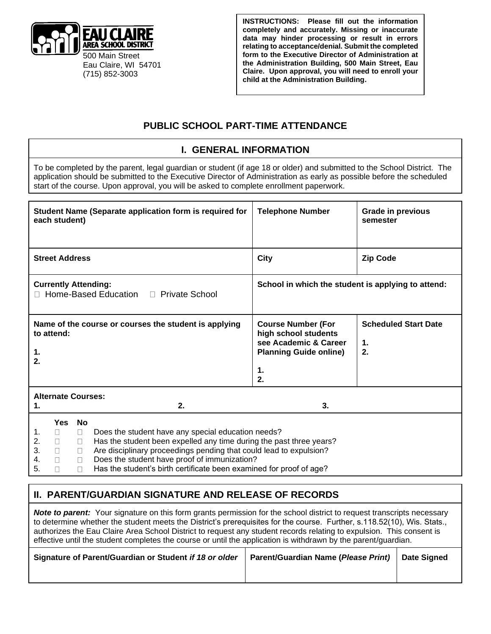

**INSTRUCTIONS: Please fill out the information completely and accurately. Missing or inaccurate data may hinder processing or result in errors relating to acceptance/denial. Submit the completed form to the Executive Director of Administration at the Administration Building, 500 Main Street, Eau Claire. Upon approval, you will need to enroll your child at the Administration Building.** 

### **PUBLIC SCHOOL PART-TIME ATTENDANCE**

#### **I. GENERAL INFORMATION**

To be completed by the parent, legal guardian or student (if age 18 or older) and submitted to the School District. The application should be submitted to the Executive Director of Administration as early as possible before the scheduled start of the course. Upon approval, you will be asked to complete enrollment paperwork.

|                                                                        | each student)                                           |                                                             | Student Name (Separate application form is required for                                                                                                                                                                                                                                                                | <b>Telephone Number</b>                                                                                                 | <b>Grade in previous</b><br>semester    |  |
|------------------------------------------------------------------------|---------------------------------------------------------|-------------------------------------------------------------|------------------------------------------------------------------------------------------------------------------------------------------------------------------------------------------------------------------------------------------------------------------------------------------------------------------------|-------------------------------------------------------------------------------------------------------------------------|-----------------------------------------|--|
|                                                                        | <b>Street Address</b>                                   |                                                             |                                                                                                                                                                                                                                                                                                                        | <b>City</b>                                                                                                             | <b>Zip Code</b>                         |  |
| <b>Currently Attending:</b><br>□ Home-Based Education □ Private School |                                                         |                                                             |                                                                                                                                                                                                                                                                                                                        | School in which the student is applying to attend:                                                                      |                                         |  |
| 1.<br>2.                                                               | to attend:                                              |                                                             | Name of the course or courses the student is applying                                                                                                                                                                                                                                                                  | <b>Course Number (For</b><br>high school students<br>see Academic & Career<br><b>Planning Guide online)</b><br>1.<br>2. | <b>Scheduled Start Date</b><br>1.<br>2. |  |
| <b>Alternate Courses:</b><br>$\mathbf 1$<br>2.                         |                                                         |                                                             |                                                                                                                                                                                                                                                                                                                        | 3.                                                                                                                      |                                         |  |
| 1.<br>2.<br>3.<br>4.<br>5.                                             | <b>Yes</b><br>$\Box$<br>$\Box$<br>$\Box$<br>$\Box$<br>П | <b>No</b><br>$\Box$<br>$\Box$<br>$\Box$<br>$\Box$<br>$\Box$ | Does the student have any special education needs?<br>Has the student been expelled any time during the past three years?<br>Are disciplinary proceedings pending that could lead to expulsion?<br>Does the student have proof of immunization?<br>Has the student's birth certificate been examined for proof of age? |                                                                                                                         |                                         |  |

### **II. PARENT/GUARDIAN SIGNATURE AND RELEASE OF RECORDS**

**Note to parent:** Your signature on this form grants permission for the school district to request transcripts necessary to determine whether the student meets the District's prerequisites for the course. Further, s.118.52(10), Wis. Stats., authorizes the Eau Claire Area School District to request any student records relating to expulsion. This consent is effective until the student completes the course or until the application is withdrawn by the parent/guardian.

| Signature of Parent/Guardian or Student if 18 or older   Parent/Guardian Name (Please Print)   Date Signed |  |
|------------------------------------------------------------------------------------------------------------|--|
|                                                                                                            |  |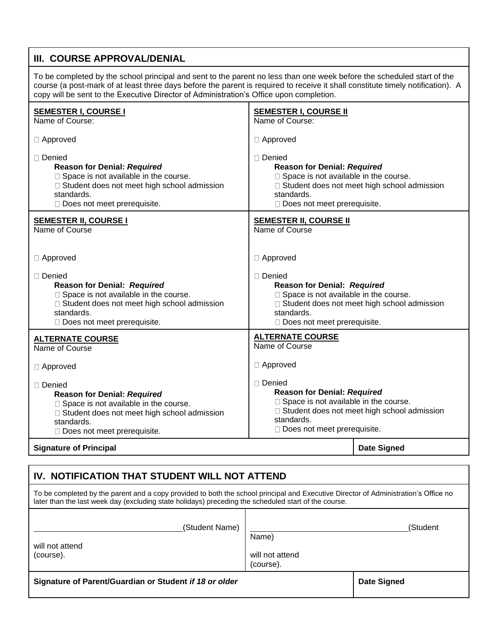# **III. COURSE APPROVAL/DENIAL**

To be completed by the school principal and sent to the parent no less than one week before the scheduled start of the course (a post-mark of at least three days before the parent is required to receive it shall constitute timely notification). A copy will be sent to the Executive Director of Administration's Office upon completion.

| <b>SEMESTER I, COURSE I</b><br>Name of Course:                                                                                                                                                 | <b>SEMESTER I, COURSE II</b><br>Name of Course:                                                                                                                                         |                                               |  |
|------------------------------------------------------------------------------------------------------------------------------------------------------------------------------------------------|-----------------------------------------------------------------------------------------------------------------------------------------------------------------------------------------|-----------------------------------------------|--|
| □ Approved                                                                                                                                                                                     | □ Approved                                                                                                                                                                              |                                               |  |
| □ Denied<br><b>Reason for Denial: Required</b><br>□ Space is not available in the course.<br>□ Student does not meet high school admission<br>standards.<br>□ Does not meet prerequisite.      | $\Box$ Denied<br><b>Reason for Denial: Required</b><br>□ Space is not available in the course.<br>standards.<br>□ Does not meet prerequisite.                                           | □ Student does not meet high school admission |  |
| <b>SEMESTER II, COURSE I</b><br>Name of Course                                                                                                                                                 | <b>SEMESTER II, COURSE II</b><br>Name of Course                                                                                                                                         |                                               |  |
| □ Approved                                                                                                                                                                                     | □ Approved                                                                                                                                                                              |                                               |  |
| $\Box$ Denied<br><b>Reason for Denial: Required</b><br>□ Space is not available in the course.<br>□ Student does not meet high school admission<br>standards.<br>Does not meet prerequisite.   | $\Box$ Denied<br><b>Reason for Denial: Required</b><br>□ Space is not available in the course.<br>standards.<br>□ Does not meet prerequisite.                                           | □ Student does not meet high school admission |  |
| <b>ALTERNATE COURSE</b><br>Name of Course                                                                                                                                                      | <b>ALTERNATE COURSE</b><br>Name of Course                                                                                                                                               |                                               |  |
| $\Box$ Approved                                                                                                                                                                                | □ Approved                                                                                                                                                                              |                                               |  |
| $\Box$ Denied<br><b>Reason for Denial: Required</b><br>□ Space is not available in the course.<br>□ Student does not meet high school admission<br>standards.<br>□ Does not meet prerequisite. | □ Denied<br><b>Reason for Denial: Required</b><br>□ Space is not available in the course.<br>□ Student does not meet high school admission<br>standards.<br>Does not meet prerequisite. |                                               |  |
| <b>Signature of Principal</b>                                                                                                                                                                  |                                                                                                                                                                                         | <b>Date Signed</b>                            |  |

## **IV. NOTIFICATION THAT STUDENT WILL NOT ATTEND**

| To be completed by the parent and a copy provided to both the school principal and Executive Director of Administration's Office no<br>later than the last week day (excluding state holidays) preceding the scheduled start of the course. |                                       |                    |  |  |  |  |  |
|---------------------------------------------------------------------------------------------------------------------------------------------------------------------------------------------------------------------------------------------|---------------------------------------|--------------------|--|--|--|--|--|
| (Student Name)<br>will not attend<br>(course).                                                                                                                                                                                              | Name)<br>will not attend<br>(course). | (Student           |  |  |  |  |  |
| Signature of Parent/Guardian or Student if 18 or older                                                                                                                                                                                      |                                       | <b>Date Signed</b> |  |  |  |  |  |